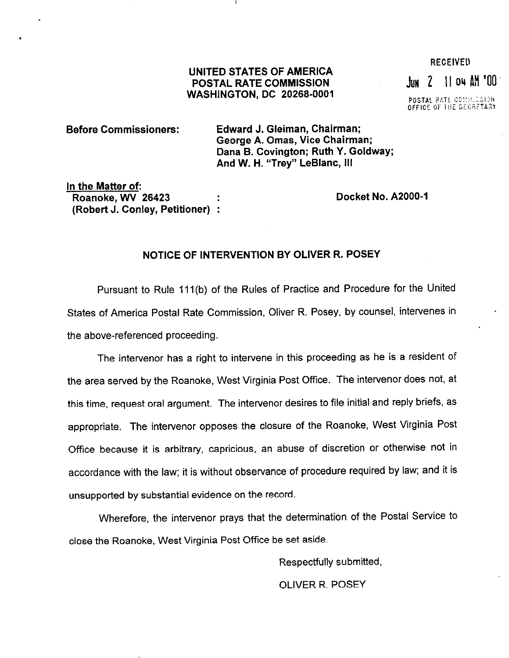## UNITED STATES OF AMERICA POSTAL RATE COMMISSION WASHINGTON, DC 20266-0001

 $\lim$  2 11 04  $\lim$  100

**RECEIVED** 

POSTAL RATE COMMISSION

## Before Commissioners: Edward J. Gleiman, Chairman; George A. Omas, Vice Chairman; Dana B. Covington; Ruth Y. Goldway; And W. H. "Trey" LeBlanc, Ill

In the Matter of: Roanoke, WV 26423 (Robert J. Conley, Petitioner) :

Docket No. A2000-1

## NOTICE OF INTERVENTION BY OLIVER R. POSEY

Pursuant to Rule 111(b) of the Rules of Practice and Procedure for the United States of America Postal Rate Commission, Oliver R. Posey, by counsel, intervenes in the above-referenced proceeding.

The intervenor has a right to intervene in this proceeding as he is a resident of the area served by the Roanoke, West Virginia Post Office. The intervenor does not, at this time, request oral argument. The intervenor desires to file initial and reply briefs, as appropriate. The intervenor opposes the closure of the Roanoke, West Virginia Post Office because it is arbitrary, capricious, an abuse of discretion or otherwise not in accordance with the law; it is without observance of procedure required by law; and it is unsupported by substantial evidence on the record.

Wherefore, the intervenor prays that the determination of the Postal Service to close the Roanoke, West Virginia Post Office be set aside.

> Respectfully submitted, OLIVER R. POSEY